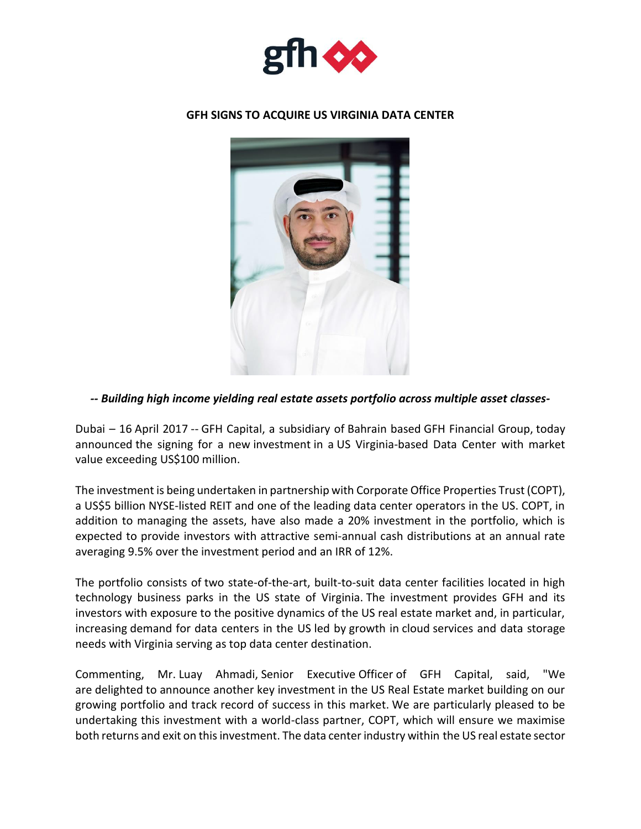

## **GFH SIGNS TO ACQUIRE US VIRGINIA DATA CENTER**



## *-- Building high income yielding real estate assets portfolio across multiple asset classes-*

Dubai – 16 April 2017 -- GFH Capital, a subsidiary of Bahrain based GFH Financial Group, today announced the signing for a new investment in a US Virginia-based Data Center with market value exceeding US\$100 million.

The investment is being undertaken in partnership with Corporate Office Properties Trust (COPT), a US\$5 billion NYSE-listed REIT and one of the leading data center operators in the US. COPT, in addition to managing the assets, have also made a 20% investment in the portfolio, which is expected to provide investors with attractive semi-annual cash distributions at an annual rate averaging 9.5% over the investment period and an IRR of 12%.

The portfolio consists of two state-of-the-art, built-to-suit data center facilities located in high technology business parks in the US state of Virginia. The investment provides GFH and its investors with exposure to the positive dynamics of the US real estate market and, in particular, increasing demand for data centers in the US led by growth in cloud services and data storage needs with Virginia serving as top data center destination.

Commenting, Mr. Luay Ahmadi, Senior Executive Officer of GFH Capital, said, "We are delighted to announce another key investment in the US Real Estate market building on our growing portfolio and track record of success in this market. We are particularly pleased to be undertaking this investment with a world-class partner, COPT, which will ensure we maximise both returns and exit on this investment. The data center industry within the US real estate sector